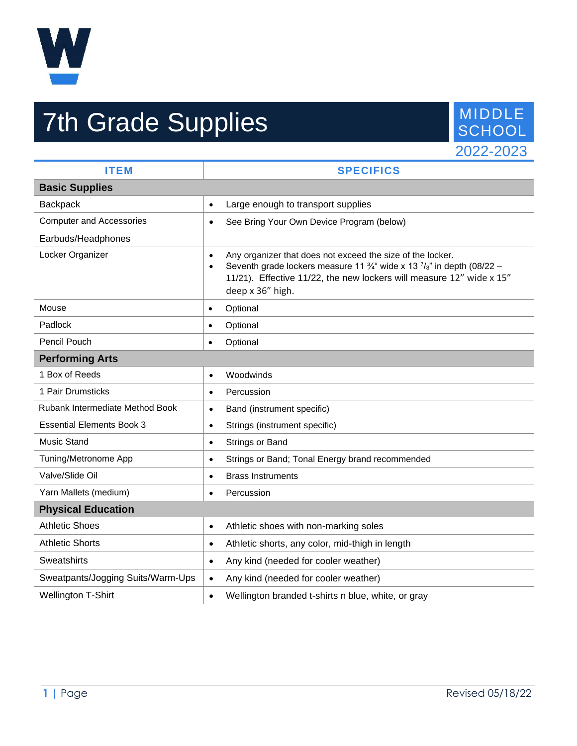

## **7th Grade Supplies** MIDDLE SCHOOL



| <b>ITEM</b>                       | <b>SPECIFICS</b>                                                                                                                                                                                                                                                             |
|-----------------------------------|------------------------------------------------------------------------------------------------------------------------------------------------------------------------------------------------------------------------------------------------------------------------------|
| <b>Basic Supplies</b>             |                                                                                                                                                                                                                                                                              |
| <b>Backpack</b>                   | Large enough to transport supplies<br>$\bullet$                                                                                                                                                                                                                              |
| <b>Computer and Accessories</b>   | See Bring Your Own Device Program (below)<br>$\bullet$                                                                                                                                                                                                                       |
| Earbuds/Headphones                |                                                                                                                                                                                                                                                                              |
| Locker Organizer                  | Any organizer that does not exceed the size of the locker.<br>$\bullet$<br>Seventh grade lockers measure 11 $\frac{3}{4}$ wide x 13 $\frac{7}{8}$ in depth (08/22 –<br>$\bullet$<br>11/21). Effective 11/22, the new lockers will measure 12" wide x 15"<br>deep x 36" high. |
| Mouse                             | Optional<br>$\bullet$                                                                                                                                                                                                                                                        |
| Padlock                           | Optional<br>$\bullet$                                                                                                                                                                                                                                                        |
| Pencil Pouch                      | Optional<br>$\bullet$                                                                                                                                                                                                                                                        |
| <b>Performing Arts</b>            |                                                                                                                                                                                                                                                                              |
| 1 Box of Reeds                    | Woodwinds<br>$\bullet$                                                                                                                                                                                                                                                       |
| 1 Pair Drumsticks                 | Percussion<br>$\bullet$                                                                                                                                                                                                                                                      |
| Rubank Intermediate Method Book   | Band (instrument specific)<br>$\bullet$                                                                                                                                                                                                                                      |
| <b>Essential Elements Book 3</b>  | Strings (instrument specific)<br>$\bullet$                                                                                                                                                                                                                                   |
| <b>Music Stand</b>                | Strings or Band<br>$\bullet$                                                                                                                                                                                                                                                 |
| Tuning/Metronome App              | Strings or Band; Tonal Energy brand recommended<br>$\bullet$                                                                                                                                                                                                                 |
| Valve/Slide Oil                   | <b>Brass Instruments</b><br>$\bullet$                                                                                                                                                                                                                                        |
| Yarn Mallets (medium)             | Percussion<br>$\bullet$                                                                                                                                                                                                                                                      |
| <b>Physical Education</b>         |                                                                                                                                                                                                                                                                              |
| <b>Athletic Shoes</b>             | Athletic shoes with non-marking soles<br>$\bullet$                                                                                                                                                                                                                           |
| <b>Athletic Shorts</b>            | Athletic shorts, any color, mid-thigh in length<br>$\bullet$                                                                                                                                                                                                                 |
| Sweatshirts                       | Any kind (needed for cooler weather)<br>$\bullet$                                                                                                                                                                                                                            |
| Sweatpants/Jogging Suits/Warm-Ups | Any kind (needed for cooler weather)<br>$\bullet$                                                                                                                                                                                                                            |
| <b>Wellington T-Shirt</b>         | Wellington branded t-shirts n blue, white, or gray<br>$\bullet$                                                                                                                                                                                                              |